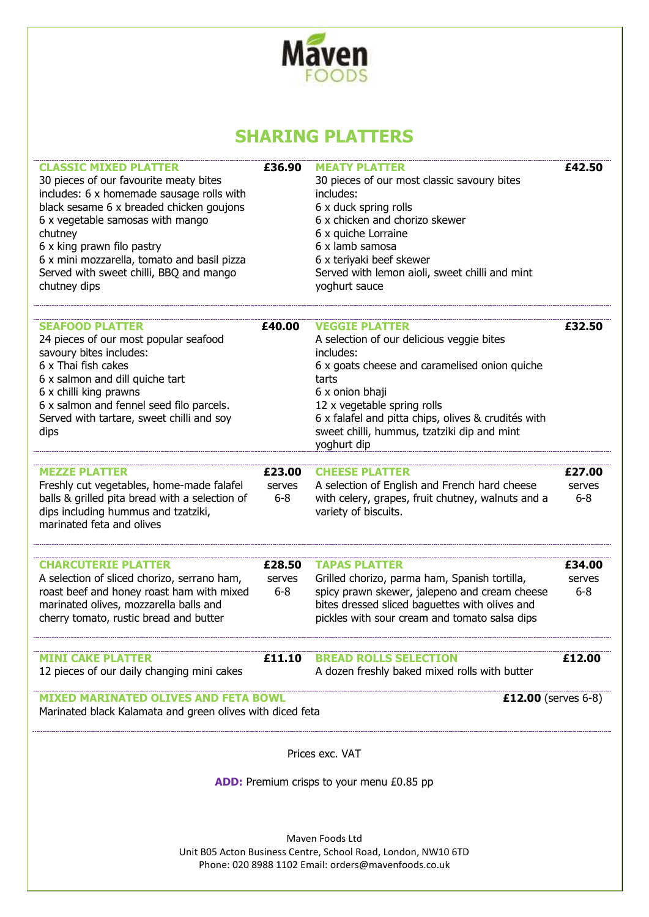

## **SHARING PLATTERS**

| <b>CLASSIC MIXED PLATTER</b><br>30 pieces of our favourite meaty bites<br>includes: 6 x homemade sausage rolls with<br>black sesame 6 x breaded chicken goujons<br>6 x vegetable samosas with mango<br>chutney<br>6 x king prawn filo pastry<br>6 x mini mozzarella, tomato and basil pizza<br>Served with sweet chilli, BBQ and mango<br>chutney dips | £36.90                      | <b>MEATY PLATTER</b><br>30 pieces of our most classic savoury bites<br>includes:<br>6 x duck spring rolls<br>6 x chicken and chorizo skewer<br>6 x quiche Lorraine<br>6 x lamb samosa<br>6 x teriyaki beef skewer<br>Served with lemon aioli, sweet chilli and mint<br>yoghurt sauce                             | £42.50                      |  |  |
|--------------------------------------------------------------------------------------------------------------------------------------------------------------------------------------------------------------------------------------------------------------------------------------------------------------------------------------------------------|-----------------------------|------------------------------------------------------------------------------------------------------------------------------------------------------------------------------------------------------------------------------------------------------------------------------------------------------------------|-----------------------------|--|--|
| <b>SEAFOOD PLATTER</b><br>24 pieces of our most popular seafood<br>savoury bites includes:<br>6 x Thai fish cakes<br>6 x salmon and dill quiche tart<br>6 x chilli king prawns<br>6 x salmon and fennel seed filo parcels.<br>Served with tartare, sweet chilli and soy<br>dips                                                                        | £40.00                      | <b>VEGGIE PLATTER</b><br>A selection of our delicious veggie bites<br>includes:<br>6 x goats cheese and caramelised onion quiche<br>tarts<br>6 x onion bhaji<br>12 x vegetable spring rolls<br>6 x falafel and pitta chips, olives & crudités with<br>sweet chilli, hummus, tzatziki dip and mint<br>yoghurt dip | £32.50                      |  |  |
| <b>MEZZE PLATTER</b><br>Freshly cut vegetables, home-made falafel<br>balls & grilled pita bread with a selection of<br>dips including hummus and tzatziki,<br>marinated feta and olives                                                                                                                                                                | £23.00<br>serves<br>$6 - 8$ | <b>CHEESE PLATTER</b><br>A selection of English and French hard cheese<br>with celery, grapes, fruit chutney, walnuts and a<br>variety of biscuits.                                                                                                                                                              | £27.00<br>serves<br>$6 - 8$ |  |  |
| <b>CHARCUTERIE PLATTER</b><br>A selection of sliced chorizo, serrano ham,<br>roast beef and honey roast ham with mixed<br>marinated olives, mozzarella balls and<br>cherry tomato, rustic bread and butter                                                                                                                                             | £28.50<br>serves<br>$6 - 8$ | <b>TAPAS PLATTER</b><br>Grilled chorizo, parma ham, Spanish tortilla,<br>spicy prawn skewer, jalepeno and cream cheese<br>bites dressed sliced baguettes with olives and<br>pickles with sour cream and tomato salsa dips                                                                                        | £34.00<br>serves<br>$6 - 8$ |  |  |
| <b>MINI CAKE PLATTER</b><br>12 pieces of our daily changing mini cakes                                                                                                                                                                                                                                                                                 |                             | <b>£11.10 BREAD ROLLS SELECTION</b><br>A dozen freshly baked mixed rolls with butter                                                                                                                                                                                                                             | £12.00                      |  |  |
| <b>MIXED MARINATED OLIVES AND FETA BOWL</b><br>£12.00 (serves $6-8$ )<br>Marinated black Kalamata and green olives with diced feta                                                                                                                                                                                                                     |                             |                                                                                                                                                                                                                                                                                                                  |                             |  |  |
| Prices exc. VAT                                                                                                                                                                                                                                                                                                                                        |                             |                                                                                                                                                                                                                                                                                                                  |                             |  |  |
| <b>ADD:</b> Premium crisps to your menu £0.85 pp                                                                                                                                                                                                                                                                                                       |                             |                                                                                                                                                                                                                                                                                                                  |                             |  |  |
| Mayen Foods Ltd<br>Unit B05 Acton Business Centre, School Road, London, NW10 6TD<br>Phone: 020 8988 1102 Email: orders@mavenfoods.co.uk                                                                                                                                                                                                                |                             |                                                                                                                                                                                                                                                                                                                  |                             |  |  |